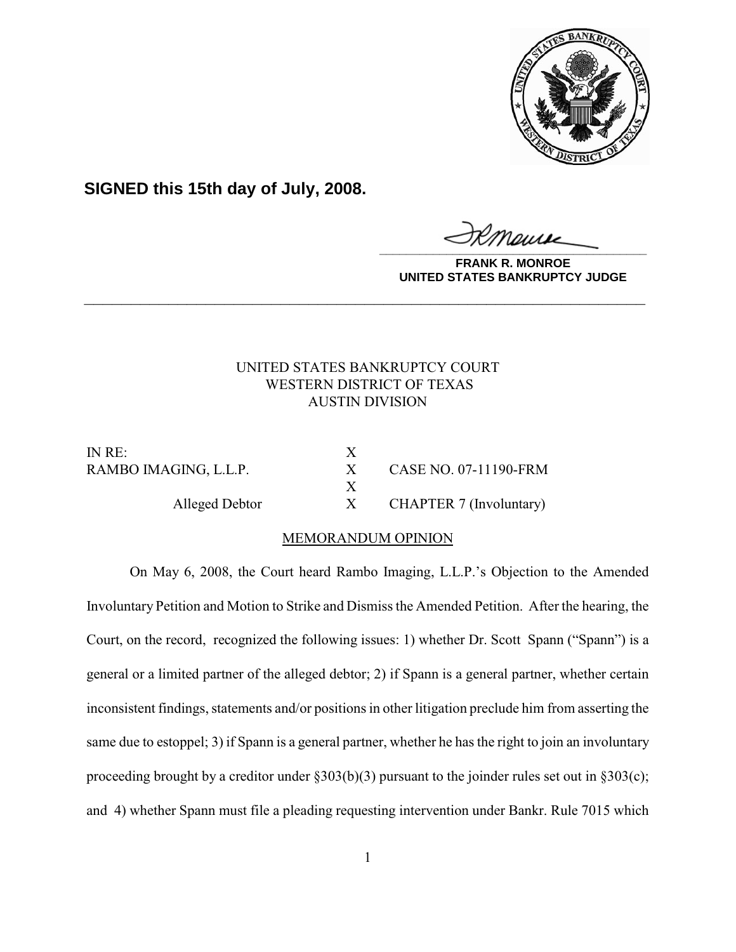

**SIGNED this 15th day of July, 2008.**

**\_\_\_\_\_\_\_\_\_\_\_\_\_\_\_\_\_\_\_\_\_\_\_\_\_\_\_\_\_\_\_\_\_\_\_\_\_\_\_\_**

**FRANK R. MONROE UNITED STATES BANKRUPTCY JUDGE**

# UNITED STATES BANKRUPTCY COURT WESTERN DISTRICT OF TEXAS AUSTIN DIVISION

**\_\_\_\_\_\_\_\_\_\_\_\_\_\_\_\_\_\_\_\_\_\_\_\_\_\_\_\_\_\_\_\_\_\_\_\_\_\_\_\_\_\_\_\_\_\_\_\_\_\_\_\_\_\_\_\_\_\_\_\_**

IN RE: X

RAMBO IMAGING, L.L.P. X CASE NO. 07-11190-FRM Alleged Debtor X CHAPTER 7 (Involuntary)

## MEMORANDUM OPINION

X

On May 6, 2008, the Court heard Rambo Imaging, L.L.P.'s Objection to the Amended Involuntary Petition and Motion to Strike and Dismiss the Amended Petition. After the hearing, the Court, on the record, recognized the following issues: 1) whether Dr. Scott Spann ("Spann") is a general or a limited partner of the alleged debtor; 2) if Spann is a general partner, whether certain inconsistent findings, statements and/or positions in other litigation preclude him from asserting the same due to estoppel; 3) if Spann is a general partner, whether he has the right to join an involuntary proceeding brought by a creditor under §303(b)(3) pursuant to the joinder rules set out in §303(c); and 4) whether Spann must file a pleading requesting intervention under Bankr. Rule 7015 which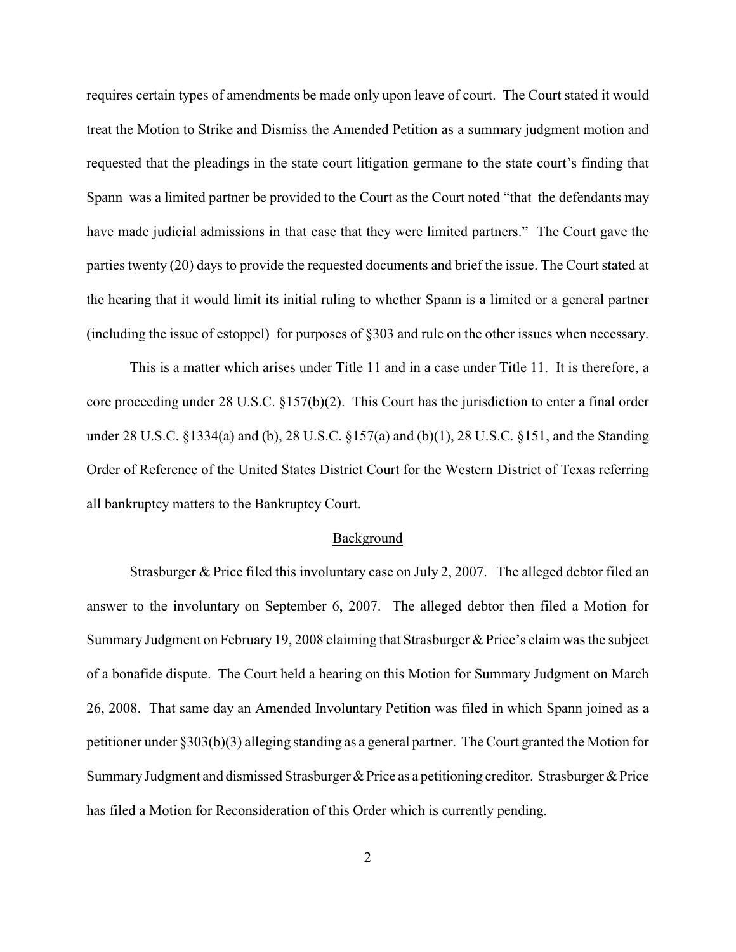requires certain types of amendments be made only upon leave of court. The Court stated it would treat the Motion to Strike and Dismiss the Amended Petition as a summary judgment motion and requested that the pleadings in the state court litigation germane to the state court's finding that Spann was a limited partner be provided to the Court as the Court noted "that the defendants may have made judicial admissions in that case that they were limited partners." The Court gave the parties twenty (20) days to provide the requested documents and brief the issue. The Court stated at the hearing that it would limit its initial ruling to whether Spann is a limited or a general partner (including the issue of estoppel) for purposes of §303 and rule on the other issues when necessary.

This is a matter which arises under Title 11 and in a case under Title 11. It is therefore, a core proceeding under 28 U.S.C. §157(b)(2). This Court has the jurisdiction to enter a final order under 28 U.S.C. §1334(a) and (b), 28 U.S.C. §157(a) and (b)(1), 28 U.S.C. §151, and the Standing Order of Reference of the United States District Court for the Western District of Texas referring all bankruptcy matters to the Bankruptcy Court.

### Background

Strasburger & Price filed this involuntary case on July 2, 2007. The alleged debtor filed an answer to the involuntary on September 6, 2007. The alleged debtor then filed a Motion for Summary Judgment on February 19, 2008 claiming that Strasburger & Price's claim was the subject of a bonafide dispute. The Court held a hearing on this Motion for Summary Judgment on March 26, 2008. That same day an Amended Involuntary Petition was filed in which Spann joined as a petitioner under §303(b)(3) alleging standing as a general partner. The Court granted the Motion for Summary Judgment and dismissed Strasburger & Price as a petitioning creditor. Strasburger & Price has filed a Motion for Reconsideration of this Order which is currently pending.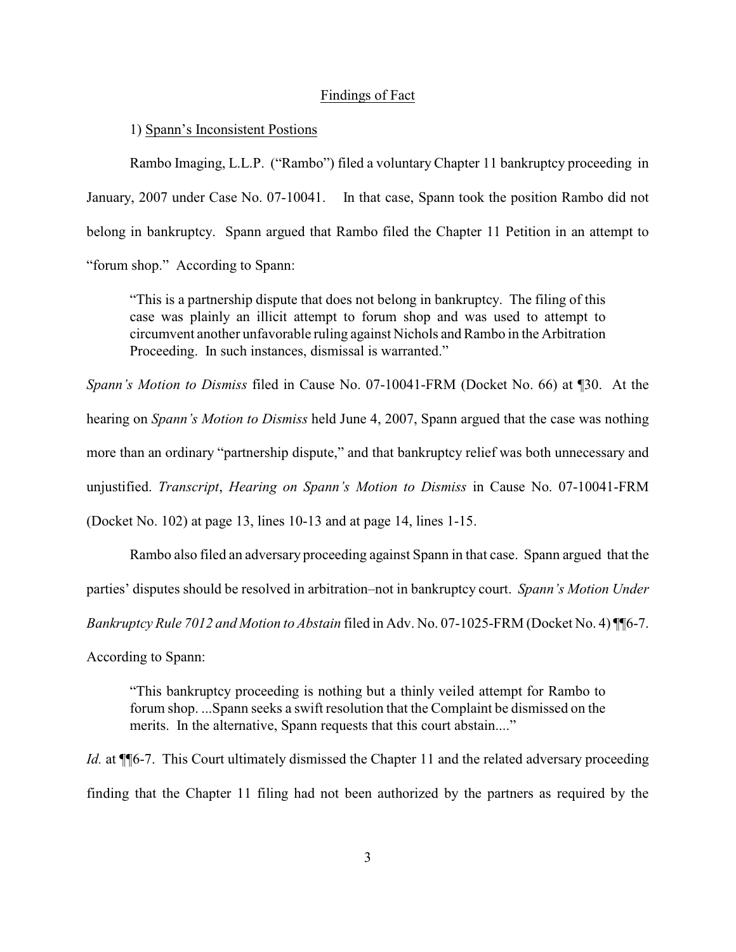### Findings of Fact

1) Spann's Inconsistent Postions

Rambo Imaging, L.L.P. ("Rambo") filed a voluntary Chapter 11 bankruptcy proceeding in January, 2007 under Case No. 07-10041. In that case, Spann took the position Rambo did not belong in bankruptcy. Spann argued that Rambo filed the Chapter 11 Petition in an attempt to "forum shop." According to Spann:

"This is a partnership dispute that does not belong in bankruptcy. The filing of this case was plainly an illicit attempt to forum shop and was used to attempt to circumvent another unfavorable ruling against Nichols and Rambo in the Arbitration Proceeding. In such instances, dismissal is warranted."

*Spann's Motion to Dismiss* filed in Cause No. 07-10041-FRM (Docket No. 66) at ¶30. At the hearing on *Spann's Motion to Dismiss* held June 4, 2007, Spann argued that the case was nothing more than an ordinary "partnership dispute," and that bankruptcy relief was both unnecessary and unjustified. *Transcript*, *Hearing on Spann's Motion to Dismiss* in Cause No. 07-10041-FRM

(Docket No. 102) at page 13, lines 10-13 and at page 14, lines 1-15.

Rambo also filed an adversary proceeding against Spann in that case. Spann argued that the parties' disputes should be resolved in arbitration–not in bankruptcy court. *Spann's Motion Under Bankruptcy Rule 7012 and Motion to Abstain* filed in Adv. No. 07-1025-FRM (Docket No. 4) ¶¶6-7.

According to Spann:

"This bankruptcy proceeding is nothing but a thinly veiled attempt for Rambo to forum shop. ...Spann seeks a swift resolution that the Complaint be dismissed on the merits. In the alternative, Spann requests that this court abstain...."

*Id.* at  $\P$ <sup> $\uparrow$  $\uparrow$  $\uparrow$  $\uparrow$ . This Court ultimately dismissed the Chapter 11 and the related adversary proceeding</sup> finding that the Chapter 11 filing had not been authorized by the partners as required by the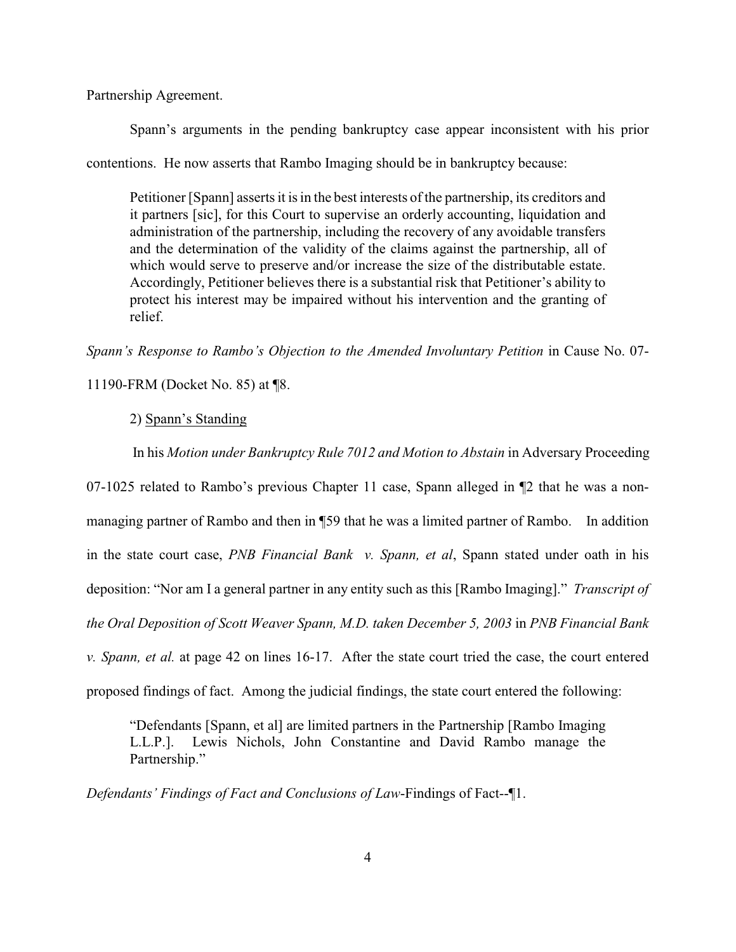Partnership Agreement.

Spann's arguments in the pending bankruptcy case appear inconsistent with his prior contentions. He now asserts that Rambo Imaging should be in bankruptcy because:

Petitioner [Spann] asserts it is in the best interests of the partnership, its creditors and it partners [sic], for this Court to supervise an orderly accounting, liquidation and administration of the partnership, including the recovery of any avoidable transfers and the determination of the validity of the claims against the partnership, all of which would serve to preserve and/or increase the size of the distributable estate. Accordingly, Petitioner believes there is a substantial risk that Petitioner's ability to protect his interest may be impaired without his intervention and the granting of relief.

*Spann's Response to Rambo's Objection to the Amended Involuntary Petition* in Cause No. 07-

11190-FRM (Docket No. 85) at ¶8.

## 2) Spann's Standing

In his *Motion under Bankruptcy Rule 7012 and Motion to Abstain* in Adversary Proceeding

07-1025 related to Rambo's previous Chapter 11 case, Spann alleged in ¶2 that he was a nonmanaging partner of Rambo and then in ¶59 that he was a limited partner of Rambo. In addition in the state court case, *PNB Financial Bank v. Spann, et al*, Spann stated under oath in his deposition: "Nor am I a general partner in any entity such as this [Rambo Imaging]." *Transcript of the Oral Deposition of Scott Weaver Spann, M.D. taken December 5, 2003* in *PNB Financial Bank v. Spann, et al.* at page 42 on lines 16-17. After the state court tried the case, the court entered proposed findings of fact. Among the judicial findings, the state court entered the following:

"Defendants [Spann, et al] are limited partners in the Partnership [Rambo Imaging L.L.P.]. Lewis Nichols, John Constantine and David Rambo manage the Partnership."

*Defendants' Findings of Fact and Conclusions of Law*-Findings of Fact--¶1.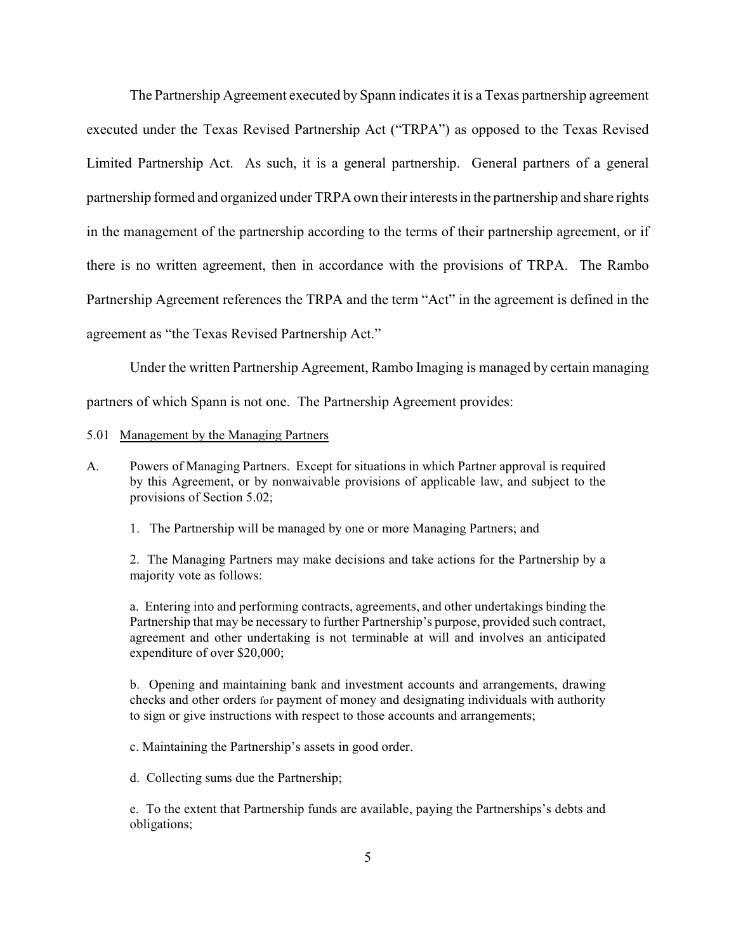The Partnership Agreement executed by Spann indicates it is a Texas partnership agreement executed under the Texas Revised Partnership Act ("TRPA") as opposed to the Texas Revised Limited Partnership Act. As such, it is a general partnership. General partners of a general partnership formed and organized under TRPA own their interests in the partnership and share rights in the management of the partnership according to the terms of their partnership agreement, or if there is no written agreement, then in accordance with the provisions of TRPA. The Rambo Partnership Agreement references the TRPA and the term "Act" in the agreement is defined in the agreement as "the Texas Revised Partnership Act."

Under the written Partnership Agreement, Rambo Imaging is managed by certain managing

partners of which Spann is not one. The Partnership Agreement provides:

### 5.01 Management by the Managing Partners

- A. Powers of Managing Partners. Except for situations in which Partner approval is required by this Agreement, or by nonwaivable provisions of applicable law, and subject to the provisions of Section 5.02;
	- 1. The Partnership will be managed by one or more Managing Partners; and

2. The Managing Partners may make decisions and take actions for the Partnership by a majority vote as follows:

a. Entering into and performing contracts, agreements, and other undertakings binding the Partnership that may be necessary to further Partnership's purpose, provided such contract, agreement and other undertaking is not terminable at will and involves an anticipated expenditure of over \$20,000;

b. Opening and maintaining bank and investment accounts and arrangements, drawing checks and other orders for payment of money and designating individuals with authority to sign or give instructions with respect to those accounts and arrangements;

c. Maintaining the Partnership's assets in good order.

d. Collecting sums due the Partnership;

e. To the extent that Partnership funds are available, paying the Partnerships's debts and obligations;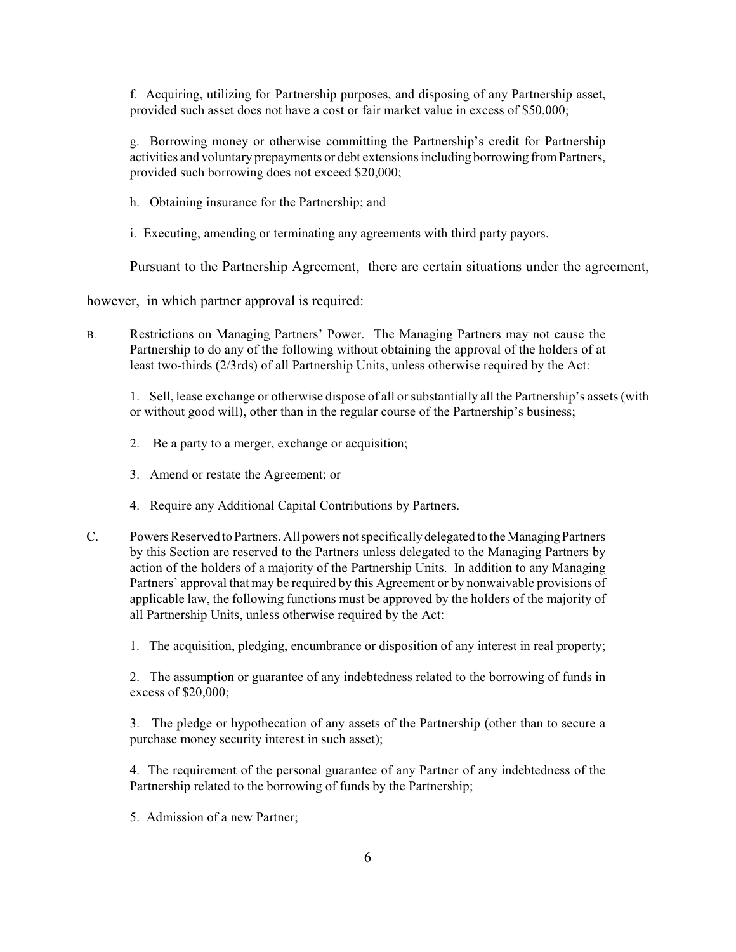f. Acquiring, utilizing for Partnership purposes, and disposing of any Partnership asset, provided such asset does not have a cost or fair market value in excess of \$50,000;

g. Borrowing money or otherwise committing the Partnership's credit for Partnership activities and voluntary prepayments or debt extensions including borrowing from Partners, provided such borrowing does not exceed \$20,000;

h. Obtaining insurance for the Partnership; and

i. Executing, amending or terminating any agreements with third party payors.

Pursuant to the Partnership Agreement, there are certain situations under the agreement,

however, in which partner approval is required:

B. Restrictions on Managing Partners' Power. The Managing Partners may not cause the Partnership to do any of the following without obtaining the approval of the holders of at least two-thirds (2/3rds) of all Partnership Units, unless otherwise required by the Act:

1. Sell, lease exchange or otherwise dispose of all or substantially all the Partnership's assets (with or without good will), other than in the regular course of the Partnership's business;

- 2. Be a party to a merger, exchange or acquisition;
- 3. Amend or restate the Agreement; or
- 4. Require any Additional Capital Contributions by Partners.
- C. Powers Reserved to Partners. All powers not specifically delegated to the Managing Partners by this Section are reserved to the Partners unless delegated to the Managing Partners by action of the holders of a majority of the Partnership Units. In addition to any Managing Partners' approval that may be required by this Agreement or by nonwaivable provisions of applicable law, the following functions must be approved by the holders of the majority of all Partnership Units, unless otherwise required by the Act:

1. The acquisition, pledging, encumbrance or disposition of any interest in real property;

2. The assumption or guarantee of any indebtedness related to the borrowing of funds in excess of \$20,000;

3. The pledge or hypothecation of any assets of the Partnership (other than to secure a purchase money security interest in such asset);

4. The requirement of the personal guarantee of any Partner of any indebtedness of the Partnership related to the borrowing of funds by the Partnership;

5. Admission of a new Partner;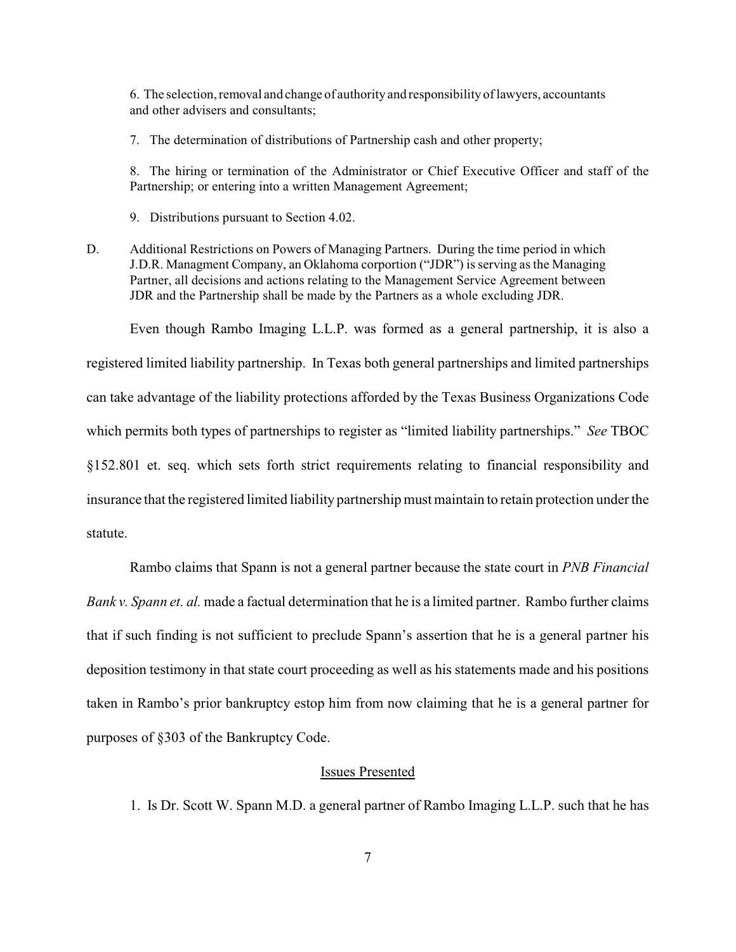6. The selection, removal and change of authority and responsibility of lawyers, accountants and other advisers and consultants;

7. The determination of distributions of Partnership cash and other property;

8. The hiring or termination of the Administrator or Chief Executive Officer and staff of the Partnership; or entering into a written Management Agreement;

9. Distributions pursuant to Section 4.02.

D. Additional Restrictions on Powers of Managing Partners. During the time period in which J.D.R. Managment Company, an Oklahoma corportion ("JDR") is serving as the Managing Partner, all decisions and actions relating to the Management Service Agreement between JDR and the Partnership shall be made by the Partners as a whole excluding JDR.

Even though Rambo Imaging L.L.P. was formed as a general partnership, it is also a registered limited liability partnership. In Texas both general partnerships and limited partnerships can take advantage of the liability protections afforded by the Texas Business Organizations Code which permits both types of partnerships to register as "limited liability partnerships." *See* TBOC §152.801 et. seq. which sets forth strict requirements relating to financial responsibility and insurance that the registered limited liability partnership must maintain to retain protection under the statute.

Rambo claims that Spann is not a general partner because the state court in *PNB Financial Bank v. Spann et. al.* made a factual determination that he is a limited partner. Rambo further claims that if such finding is not sufficient to preclude Spann's assertion that he is a general partner his deposition testimony in that state court proceeding as well as his statements made and his positions taken in Rambo's prior bankruptcy estop him from now claiming that he is a general partner for purposes of §303 of the Bankruptcy Code.

#### Issues Presented

1. Is Dr. Scott W. Spann M.D. a general partner of Rambo Imaging L.L.P. such that he has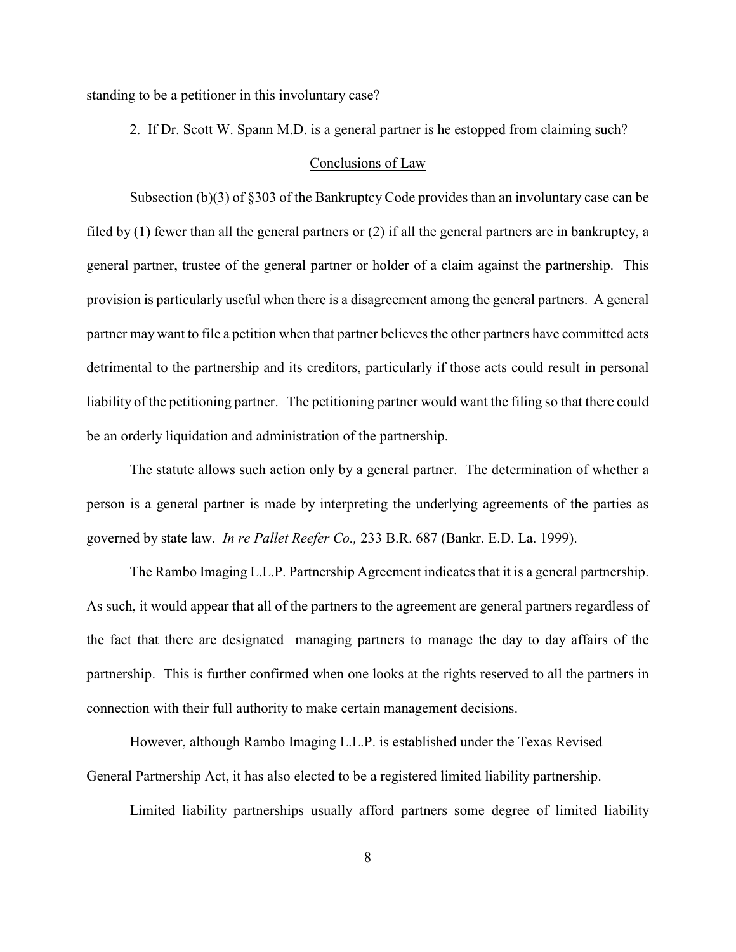standing to be a petitioner in this involuntary case?

2. If Dr. Scott W. Spann M.D. is a general partner is he estopped from claiming such?

### Conclusions of Law

Subsection (b)(3) of §303 of the Bankruptcy Code provides than an involuntary case can be filed by (1) fewer than all the general partners or (2) if all the general partners are in bankruptcy, a general partner, trustee of the general partner or holder of a claim against the partnership. This provision is particularly useful when there is a disagreement among the general partners. A general partner may want to file a petition when that partner believes the other partners have committed acts detrimental to the partnership and its creditors, particularly if those acts could result in personal liability of the petitioning partner. The petitioning partner would want the filing so that there could be an orderly liquidation and administration of the partnership.

The statute allows such action only by a general partner. The determination of whether a person is a general partner is made by interpreting the underlying agreements of the parties as governed by state law. *In re Pallet Reefer Co.,* 233 B.R. 687 (Bankr. E.D. La. 1999).

The Rambo Imaging L.L.P. Partnership Agreement indicates that it is a general partnership. As such, it would appear that all of the partners to the agreement are general partners regardless of the fact that there are designated managing partners to manage the day to day affairs of the partnership. This is further confirmed when one looks at the rights reserved to all the partners in connection with their full authority to make certain management decisions.

However, although Rambo Imaging L.L.P. is established under the Texas Revised General Partnership Act, it has also elected to be a registered limited liability partnership.

Limited liability partnerships usually afford partners some degree of limited liability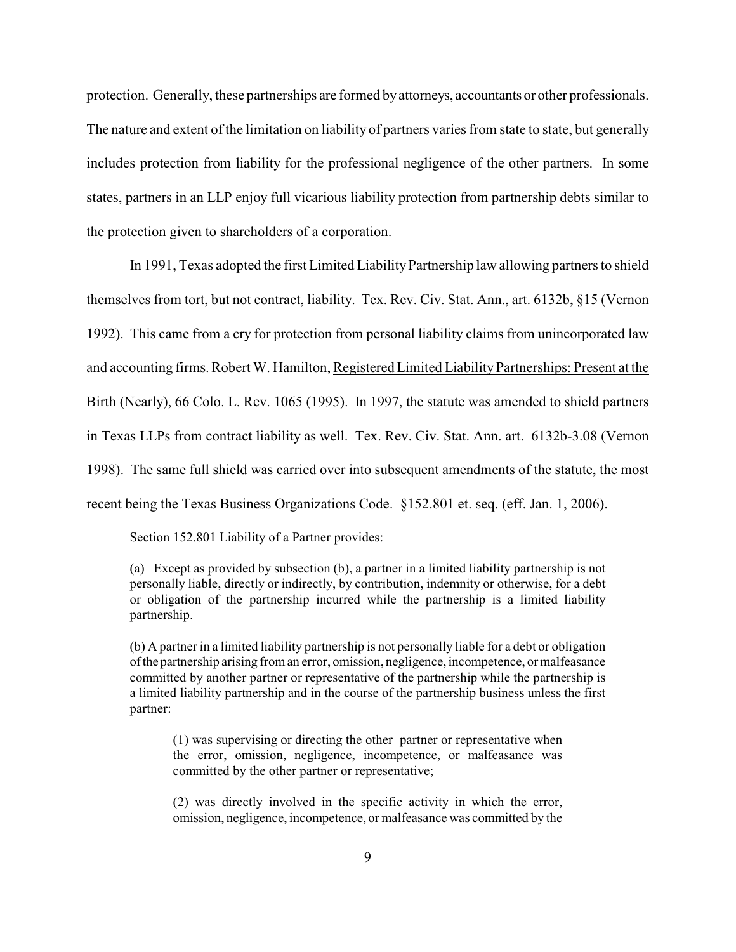protection. Generally, these partnerships are formed by attorneys, accountants or other professionals. The nature and extent of the limitation on liability of partners varies from state to state, but generally includes protection from liability for the professional negligence of the other partners. In some states, partners in an LLP enjoy full vicarious liability protection from partnership debts similar to the protection given to shareholders of a corporation.

In 1991, Texas adopted the first Limited Liability Partnership law allowing partners to shield themselves from tort, but not contract, liability. Tex. Rev. Civ. Stat. Ann., art. 6132b, §15 (Vernon 1992). This came from a cry for protection from personal liability claims from unincorporated law and accounting firms. Robert W. Hamilton, Registered Limited LiabilityPartnerships: Present at the Birth (Nearly), 66 Colo. L. Rev. 1065 (1995). In 1997, the statute was amended to shield partners in Texas LLPs from contract liability as well. Tex. Rev. Civ. Stat. Ann. art. 6132b-3.08 (Vernon 1998). The same full shield was carried over into subsequent amendments of the statute, the most recent being the Texas Business Organizations Code. §152.801 et. seq. (eff. Jan. 1, 2006).

Section 152.801 Liability of a Partner provides:

(a) Except as provided by subsection (b), a partner in a limited liability partnership is not personally liable, directly or indirectly, by contribution, indemnity or otherwise, for a debt or obligation of the partnership incurred while the partnership is a limited liability partnership.

(b) A partner in a limited liability partnership is not personally liable for a debt or obligation of the partnership arising from an error, omission, negligence, incompetence, or malfeasance committed by another partner or representative of the partnership while the partnership is a limited liability partnership and in the course of the partnership business unless the first partner:

(1) was supervising or directing the other partner or representative when the error, omission, negligence, incompetence, or malfeasance was committed by the other partner or representative;

(2) was directly involved in the specific activity in which the error, omission, negligence, incompetence, or malfeasance was committed by the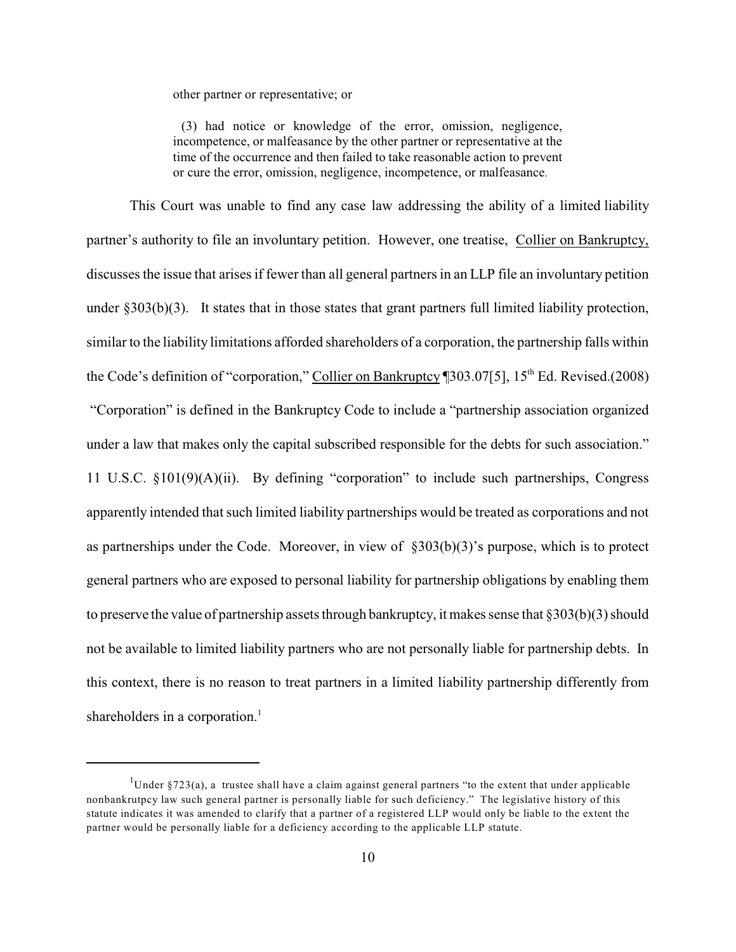other partner or representative; or

 (3) had notice or knowledge of the error, omission, negligence, incompetence, or malfeasance by the other partner or representative at the time of the occurrence and then failed to take reasonable action to prevent or cure the error, omission, negligence, incompetence, or malfeasance.

This Court was unable to find any case law addressing the ability of a limited liability partner's authority to file an involuntary petition. However, one treatise, Collier on Bankruptcy, discusses the issue that arises if fewer than all general partners in an LLP file an involuntary petition under §303(b)(3). It states that in those states that grant partners full limited liability protection, similar to the liability limitations afforded shareholders of a corporation, the partnership falls within the Code's definition of "corporation," Collier on Bankruptcy [303.07[5], 15<sup>th</sup> Ed. Revised.(2008) "Corporation" is defined in the Bankruptcy Code to include a "partnership association organized under a law that makes only the capital subscribed responsible for the debts for such association." 11 U.S.C. §101(9)(A)(ii). By defining "corporation" to include such partnerships, Congress apparently intended that such limited liability partnerships would be treated as corporations and not as partnerships under the Code. Moreover, in view of §303(b)(3)'s purpose, which is to protect general partners who are exposed to personal liability for partnership obligations by enabling them to preserve the value of partnership assets through bankruptcy, it makes sense that §303(b)(3) should not be available to limited liability partners who are not personally liable for partnership debts. In this context, there is no reason to treat partners in a limited liability partnership differently from shareholders in a corporation.<sup>1</sup>

<sup>&</sup>lt;sup>1</sup>Under §723(a), a trustee shall have a claim against general partners "to the extent that under applicable nonbankrutpcy law such general partner is personally liable for such deficiency." The legislative history of this statute indicates it was amended to clarify that a partner of a registered LLP would only be liable to the extent the partner would be personally liable for a deficiency according to the applicable LLP statute.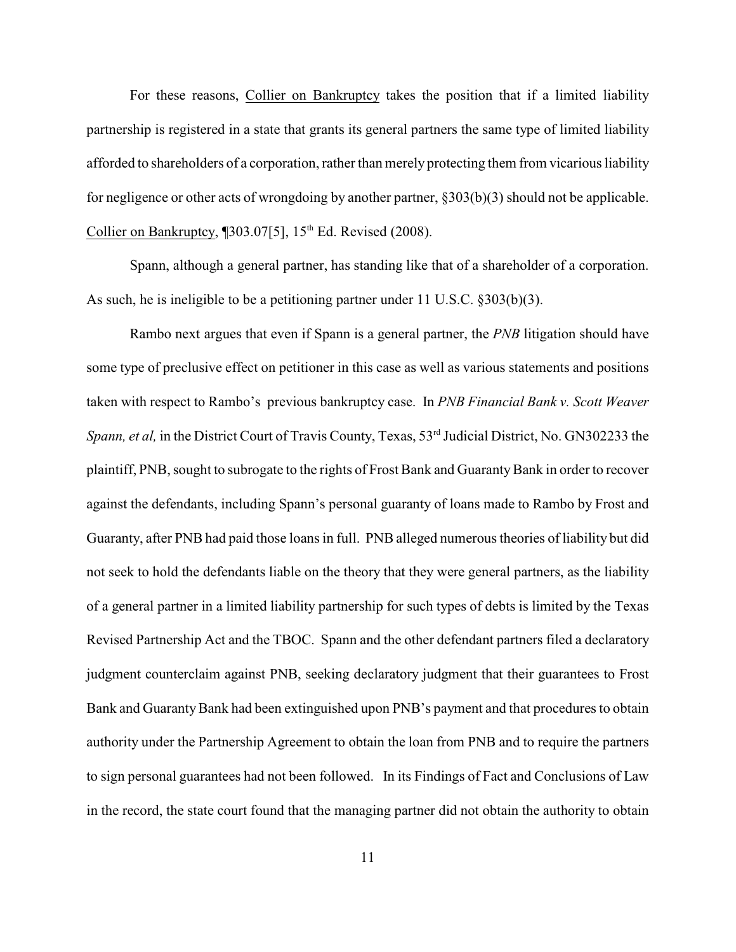For these reasons, Collier on Bankruptcy takes the position that if a limited liability partnership is registered in a state that grants its general partners the same type of limited liability afforded to shareholders of a corporation, rather than merely protecting them from vicarious liability for negligence or other acts of wrongdoing by another partner, §303(b)(3) should not be applicable. Collier on Bankruptcy,  $[303.07[5]$ , 15<sup>th</sup> Ed. Revised (2008).

Spann, although a general partner, has standing like that of a shareholder of a corporation. As such, he is ineligible to be a petitioning partner under 11 U.S.C. §303(b)(3).

Rambo next argues that even if Spann is a general partner, the *PNB* litigation should have some type of preclusive effect on petitioner in this case as well as various statements and positions taken with respect to Rambo's previous bankruptcy case. In *PNB Financial Bank v. Scott Weaver Spann, et al,* in the District Court of Travis County, Texas, 53<sup>rd</sup> Judicial District, No. GN302233 the plaintiff, PNB, sought to subrogate to the rights of Frost Bank and Guaranty Bank in order to recover against the defendants, including Spann's personal guaranty of loans made to Rambo by Frost and Guaranty, after PNB had paid those loansin full. PNB alleged numerous theories of liability but did not seek to hold the defendants liable on the theory that they were general partners, as the liability of a general partner in a limited liability partnership for such types of debts is limited by the Texas Revised Partnership Act and the TBOC. Spann and the other defendant partners filed a declaratory judgment counterclaim against PNB, seeking declaratory judgment that their guarantees to Frost Bank and Guaranty Bank had been extinguished upon PNB's payment and that procedures to obtain authority under the Partnership Agreement to obtain the loan from PNB and to require the partners to sign personal guarantees had not been followed. In its Findings of Fact and Conclusions of Law in the record, the state court found that the managing partner did not obtain the authority to obtain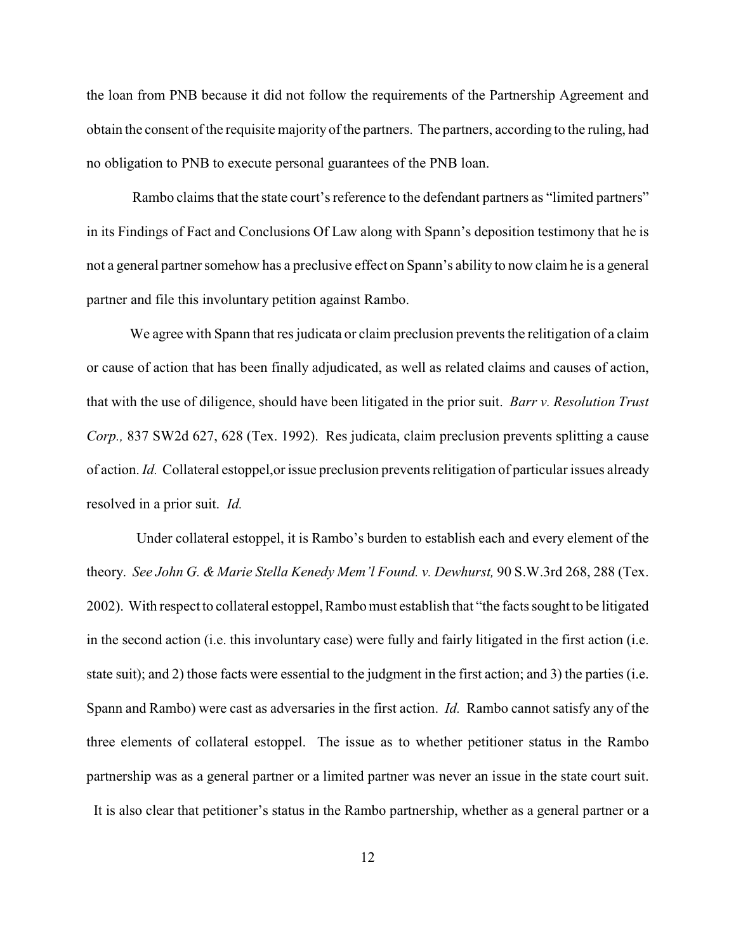the loan from PNB because it did not follow the requirements of the Partnership Agreement and obtain the consent of the requisite majority of the partners. The partners, according to the ruling, had no obligation to PNB to execute personal guarantees of the PNB loan.

Rambo claims that the state court's reference to the defendant partners as "limited partners" in its Findings of Fact and Conclusions Of Law along with Spann's deposition testimony that he is not a general partner somehow has a preclusive effect on Spann's ability to now claim he is a general partner and file this involuntary petition against Rambo.

We agree with Spann that res judicata or claim preclusion prevents the relitigation of a claim or cause of action that has been finally adjudicated, as well as related claims and causes of action, that with the use of diligence, should have been litigated in the prior suit. *Barr v. Resolution Trust Corp.,* 837 SW2d 627, 628 (Tex. 1992). Res judicata, claim preclusion prevents splitting a cause of action. *Id.* Collateral estoppel,or issue preclusion prevents relitigation of particular issues already resolved in a prior suit. *Id.*

 Under collateral estoppel, it is Rambo's burden to establish each and every element of the theory. *See John G. & Marie Stella Kenedy Mem'l Found. v. Dewhurst,* 90 S.W.3rd 268, 288 (Tex. 2002). With respect to collateral estoppel, Rambo must establish that "the facts sought to be litigated in the second action (i.e. this involuntary case) were fully and fairly litigated in the first action (i.e. state suit); and 2) those facts were essential to the judgment in the first action; and 3) the parties (i.e. Spann and Rambo) were cast as adversaries in the first action. *Id.* Rambo cannot satisfy any of the three elements of collateral estoppel. The issue as to whether petitioner status in the Rambo partnership was as a general partner or a limited partner was never an issue in the state court suit. It is also clear that petitioner's status in the Rambo partnership, whether as a general partner or a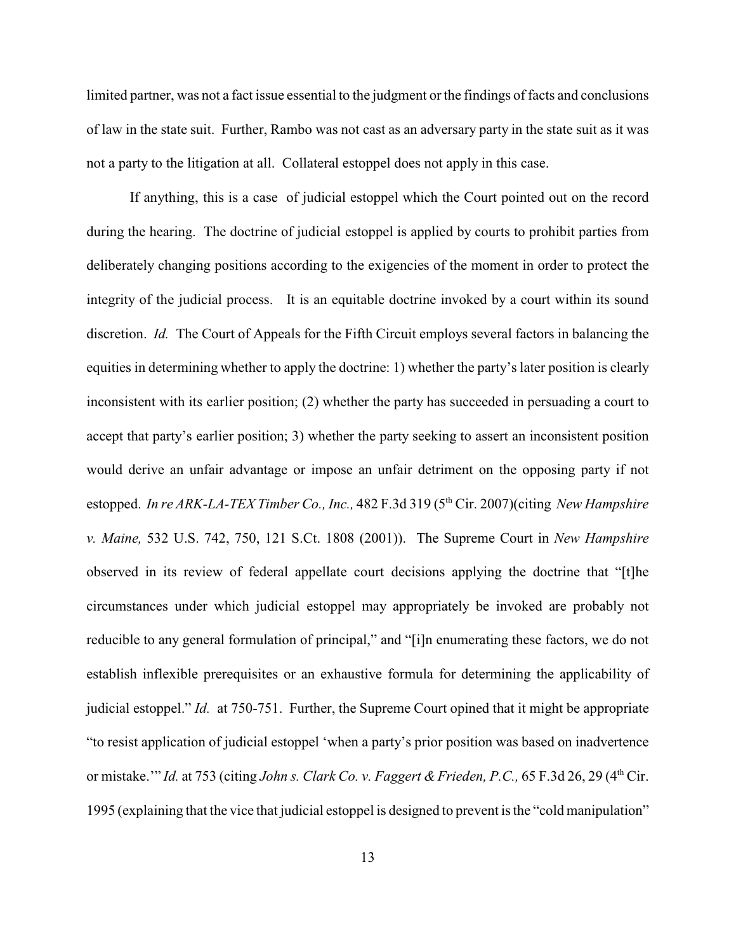limited partner, was not a fact issue essential to the judgment or the findings of facts and conclusions of law in the state suit. Further, Rambo was not cast as an adversary party in the state suit as it was not a party to the litigation at all. Collateral estoppel does not apply in this case.

If anything, this is a case of judicial estoppel which the Court pointed out on the record during the hearing. The doctrine of judicial estoppel is applied by courts to prohibit parties from deliberately changing positions according to the exigencies of the moment in order to protect the integrity of the judicial process. It is an equitable doctrine invoked by a court within its sound discretion. *Id.* The Court of Appeals for the Fifth Circuit employs several factors in balancing the equities in determining whether to apply the doctrine: 1) whether the party's later position is clearly inconsistent with its earlier position; (2) whether the party has succeeded in persuading a court to accept that party's earlier position; 3) whether the party seeking to assert an inconsistent position would derive an unfair advantage or impose an unfair detriment on the opposing party if not estopped. In re ARK-LA-TEX Timber Co., Inc., 482 F.3d 319 (5<sup>th</sup> Cir. 2007)(citing *New Hampshire v. Maine,* 532 U.S. 742, 750, 121 S.Ct. 1808 (2001)). The Supreme Court in *New Hampshire* observed in its review of federal appellate court decisions applying the doctrine that "[t]he circumstances under which judicial estoppel may appropriately be invoked are probably not reducible to any general formulation of principal," and "[i]n enumerating these factors, we do not establish inflexible prerequisites or an exhaustive formula for determining the applicability of judicial estoppel." *Id.* at 750-751. Further, the Supreme Court opined that it might be appropriate "to resist application of judicial estoppel 'when a party's prior position was based on inadvertence or mistake.'" *Id.* at 753 (citing *John s. Clark Co. v. Faggert & Frieden, P.C.*, 65 F.3d 26, 29 (4<sup>th</sup> Cir. 1995 (explaining that the vice that judicial estoppel is designed to prevent is the "cold manipulation"